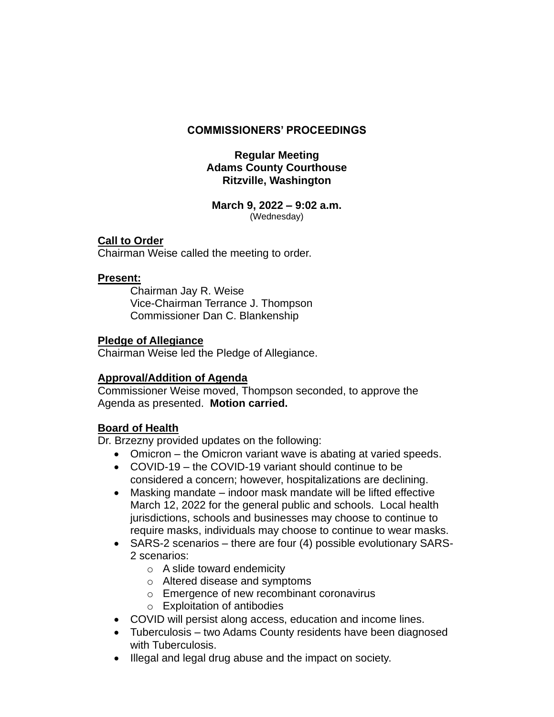# **COMMISSIONERS' PROCEEDINGS**

# **Regular Meeting Adams County Courthouse Ritzville, Washington**

#### **March 9, 2022 – 9:02 a.m.** (Wednesday)

# **Call to Order**

Chairman Weise called the meeting to order.

# **Present:**

Chairman Jay R. Weise Vice-Chairman Terrance J. Thompson Commissioner Dan C. Blankenship

# **Pledge of Allegiance**

Chairman Weise led the Pledge of Allegiance.

# **Approval/Addition of Agenda**

Commissioner Weise moved, Thompson seconded, to approve the Agenda as presented. **Motion carried.**

# **Board of Health**

Dr. Brzezny provided updates on the following:

- Omicron the Omicron variant wave is abating at varied speeds.
- COVID-19 the COVID-19 variant should continue to be considered a concern; however, hospitalizations are declining.
- Masking mandate indoor mask mandate will be lifted effective March 12, 2022 for the general public and schools. Local health jurisdictions, schools and businesses may choose to continue to require masks, individuals may choose to continue to wear masks.
- SARS-2 scenarios there are four (4) possible evolutionary SARS-2 scenarios:
	- o A slide toward endemicity
	- o Altered disease and symptoms
	- o Emergence of new recombinant coronavirus
	- o Exploitation of antibodies
- COVID will persist along access, education and income lines.
- Tuberculosis two Adams County residents have been diagnosed with Tuberculosis.
- Illegal and legal drug abuse and the impact on society.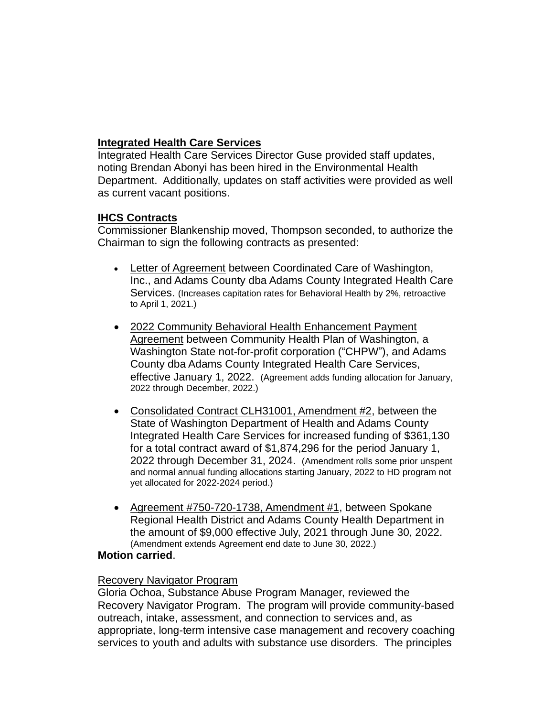# **Integrated Health Care Services**

Integrated Health Care Services Director Guse provided staff updates, noting Brendan Abonyi has been hired in the Environmental Health Department. Additionally, updates on staff activities were provided as well as current vacant positions.

# **IHCS Contracts**

Commissioner Blankenship moved, Thompson seconded, to authorize the Chairman to sign the following contracts as presented:

- Letter of Agreement between Coordinated Care of Washington, Inc., and Adams County dba Adams County Integrated Health Care Services. (Increases capitation rates for Behavioral Health by 2%, retroactive to April 1, 2021.)
- 2022 Community Behavioral Health Enhancement Payment Agreement between Community Health Plan of Washington, a Washington State not-for-profit corporation ("CHPW"), and Adams County dba Adams County Integrated Health Care Services, effective January 1, 2022. (Agreement adds funding allocation for January, 2022 through December, 2022.)
- Consolidated Contract CLH31001, Amendment #2, between the State of Washington Department of Health and Adams County Integrated Health Care Services for increased funding of \$361,130 for a total contract award of \$1,874,296 for the period January 1, 2022 through December 31, 2024. (Amendment rolls some prior unspent and normal annual funding allocations starting January, 2022 to HD program not yet allocated for 2022-2024 period.)
- Agreement #750-720-1738, Amendment #1, between Spokane Regional Health District and Adams County Health Department in the amount of \$9,000 effective July, 2021 through June 30, 2022. (Amendment extends Agreement end date to June 30, 2022.)

#### **Motion carried**.

#### Recovery Navigator Program

Gloria Ochoa, Substance Abuse Program Manager, reviewed the Recovery Navigator Program. The program will provide community-based outreach, intake, assessment, and connection to services and, as appropriate, long-term intensive case management and recovery coaching services to youth and adults with substance use disorders. The principles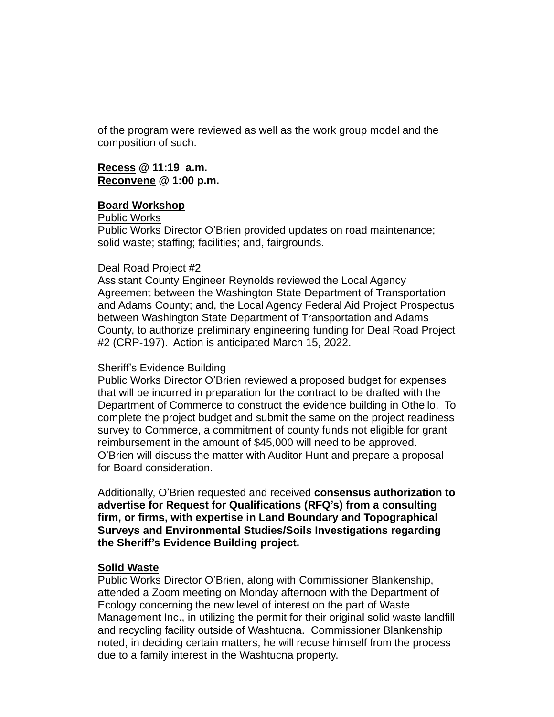of the program were reviewed as well as the work group model and the composition of such.

**Recess @ 11:19 a.m. Reconvene @ 1:00 p.m.**

### **Board Workshop**

Public Works

Public Works Director O'Brien provided updates on road maintenance; solid waste; staffing; facilities; and, fairgrounds.

### Deal Road Project #2

Assistant County Engineer Reynolds reviewed the Local Agency Agreement between the Washington State Department of Transportation and Adams County; and, the Local Agency Federal Aid Project Prospectus between Washington State Department of Transportation and Adams County, to authorize preliminary engineering funding for Deal Road Project #2 (CRP-197). Action is anticipated March 15, 2022.

# Sheriff's Evidence Building

Public Works Director O'Brien reviewed a proposed budget for expenses that will be incurred in preparation for the contract to be drafted with the Department of Commerce to construct the evidence building in Othello. To complete the project budget and submit the same on the project readiness survey to Commerce, a commitment of county funds not eligible for grant reimbursement in the amount of \$45,000 will need to be approved. O'Brien will discuss the matter with Auditor Hunt and prepare a proposal for Board consideration.

Additionally, O'Brien requested and received **consensus authorization to advertise for Request for Qualifications (RFQ's) from a consulting firm, or firms, with expertise in Land Boundary and Topographical Surveys and Environmental Studies/Soils Investigations regarding the Sheriff's Evidence Building project.**

#### **Solid Waste**

Public Works Director O'Brien, along with Commissioner Blankenship, attended a Zoom meeting on Monday afternoon with the Department of Ecology concerning the new level of interest on the part of Waste Management Inc., in utilizing the permit for their original solid waste landfill and recycling facility outside of Washtucna. Commissioner Blankenship noted, in deciding certain matters, he will recuse himself from the process due to a family interest in the Washtucna property.